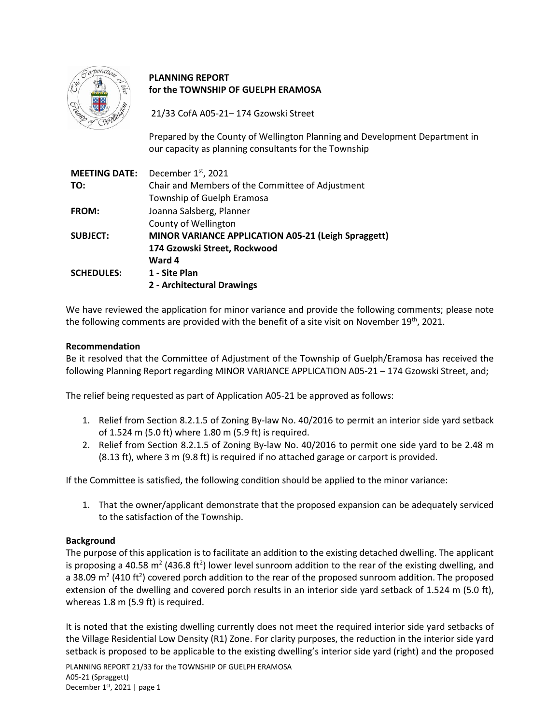

# **PLANNING REPORT for the TOWNSHIP OF GUELPH ERAMOSA**

21/33 CofA A05-21– 174 Gzowski Street

Prepared by the County of Wellington Planning and Development Department in our capacity as planning consultants for the Township

| <b>MEETING DATE:</b> | December 1st, 2021                                  |
|----------------------|-----------------------------------------------------|
| TO:                  | Chair and Members of the Committee of Adjustment    |
|                      | Township of Guelph Eramosa                          |
| <b>FROM:</b>         | Joanna Salsberg, Planner                            |
|                      | County of Wellington                                |
| <b>SUBJECT:</b>      | MINOR VARIANCE APPLICATION A05-21 (Leigh Spraggett) |
|                      | 174 Gzowski Street, Rockwood                        |
|                      | Ward 4                                              |
| <b>SCHEDULES:</b>    | 1 - Site Plan                                       |
|                      | 2 - Architectural Drawings                          |

We have reviewed the application for minor variance and provide the following comments; please note the following comments are provided with the benefit of a site visit on November 19<sup>th</sup>, 2021.

## **Recommendation**

Be it resolved that the Committee of Adjustment of the Township of Guelph/Eramosa has received the following Planning Report regarding MINOR VARIANCE APPLICATION A05-21 – 174 Gzowski Street, and;

The relief being requested as part of Application A05-21 be approved as follows:

- 1. Relief from Section 8.2.1.5 of Zoning By-law No. 40/2016 to permit an interior side yard setback of 1.524 m (5.0 ft) where 1.80 m (5.9 ft) is required.
- 2. Relief from Section 8.2.1.5 of Zoning By-law No. 40/2016 to permit one side yard to be 2.48 m (8.13 ft), where 3 m (9.8 ft) is required if no attached garage or carport is provided.

If the Committee is satisfied, the following condition should be applied to the minor variance:

1. That the owner/applicant demonstrate that the proposed expansion can be adequately serviced to the satisfaction of the Township.

## **Background**

The purpose of this application is to facilitate an addition to the existing detached dwelling. The applicant is proposing a 40.58 m<sup>2</sup> (436.8 ft<sup>2</sup>) lower level sunroom addition to the rear of the existing dwelling, and a 38.09 m<sup>2</sup> (410 ft<sup>2</sup>) covered porch addition to the rear of the proposed sunroom addition. The proposed extension of the dwelling and covered porch results in an interior side yard setback of 1.524 m (5.0 ft), whereas 1.8 m (5.9 ft) is required.

It is noted that the existing dwelling currently does not meet the required interior side yard setbacks of the Village Residential Low Density (R1) Zone. For clarity purposes, the reduction in the interior side yard setback is proposed to be applicable to the existing dwelling's interior side yard (right) and the proposed

PLANNING REPORT 21/33 for the TOWNSHIP OF GUELPH ERAMOSA A05-21 (Spraggett) December 1<sup>st</sup>, 2021 | page 1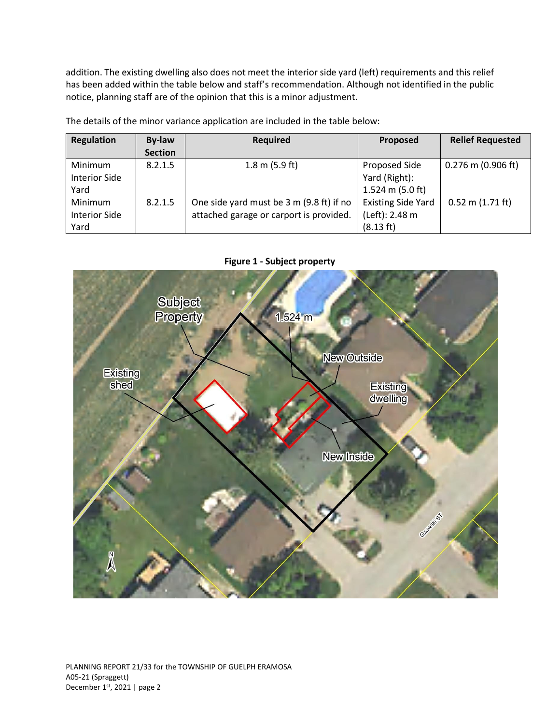addition. The existing dwelling also does not meet the interior side yard (left) requirements and this relief has been added within the table below and staff's recommendation. Although not identified in the public notice, planning staff are of the opinion that this is a minor adjustment.

| <b>Regulation</b>                       | By-law<br><b>Section</b> | <b>Required</b>                                                                     | <b>Proposed</b>                                          | <b>Relief Requested</b> |
|-----------------------------------------|--------------------------|-------------------------------------------------------------------------------------|----------------------------------------------------------|-------------------------|
| Minimum<br><b>Interior Side</b><br>Yard | 8.2.1.5                  | $1.8 \text{ m } (5.9 \text{ ft})$                                                   | Proposed Side<br>Yard (Right):<br>1.524 m $(5.0 ft)$     | $0.276$ m (0.906 ft)    |
| Minimum<br><b>Interior Side</b><br>Yard | 8.2.1.5                  | One side yard must be 3 m (9.8 ft) if no<br>attached garage or carport is provided. | <b>Existing Side Yard</b><br>(Left): 2.48 m<br>(8.13 ft) | $0.52$ m $(1.71$ ft)    |

The details of the minor variance application are included in the table below:

**Figure 1 - Subject property**

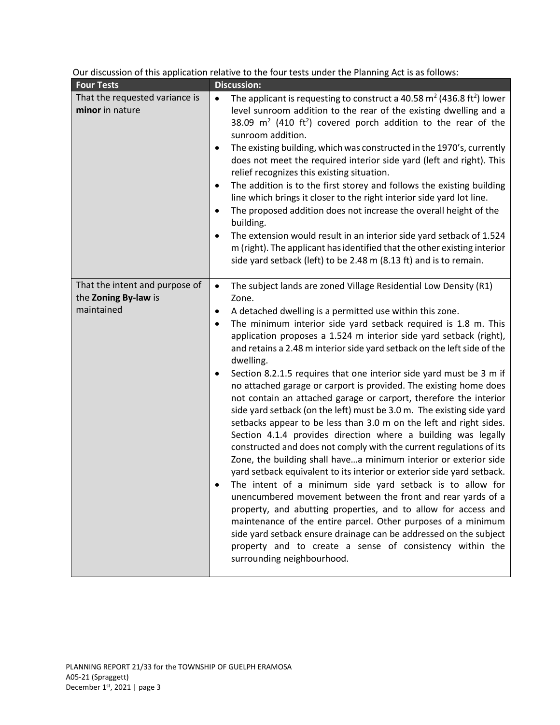| <b>Four Tests</b>                                                    | <b>Discussion:</b>                                                                                                                                                                                                                                                                                                                                                                                                                                                                                                                                                                                                                                                                                                                                                                                                                                                                                                                                                                                                                                                                                                                                                                                                                                                                                                                                                                                                                                                                                    |
|----------------------------------------------------------------------|-------------------------------------------------------------------------------------------------------------------------------------------------------------------------------------------------------------------------------------------------------------------------------------------------------------------------------------------------------------------------------------------------------------------------------------------------------------------------------------------------------------------------------------------------------------------------------------------------------------------------------------------------------------------------------------------------------------------------------------------------------------------------------------------------------------------------------------------------------------------------------------------------------------------------------------------------------------------------------------------------------------------------------------------------------------------------------------------------------------------------------------------------------------------------------------------------------------------------------------------------------------------------------------------------------------------------------------------------------------------------------------------------------------------------------------------------------------------------------------------------------|
| That the requested variance is<br>minor in nature                    | The applicant is requesting to construct a 40.58 $m2$ (436.8 ft <sup>2</sup> ) lower<br>$\bullet$<br>level sunroom addition to the rear of the existing dwelling and a<br>38.09 $m^2$ (410 ft <sup>2</sup> ) covered porch addition to the rear of the<br>sunroom addition.<br>The existing building, which was constructed in the 1970's, currently<br>$\bullet$<br>does not meet the required interior side yard (left and right). This<br>relief recognizes this existing situation.<br>The addition is to the first storey and follows the existing building<br>line which brings it closer to the right interior side yard lot line.<br>The proposed addition does not increase the overall height of the<br>building.<br>The extension would result in an interior side yard setback of 1.524<br>m (right). The applicant has identified that the other existing interior<br>side yard setback (left) to be 2.48 m (8.13 ft) and is to remain.                                                                                                                                                                                                                                                                                                                                                                                                                                                                                                                                                  |
| That the intent and purpose of<br>the Zoning By-law is<br>maintained | The subject lands are zoned Village Residential Low Density (R1)<br>$\bullet$<br>Zone.<br>A detached dwelling is a permitted use within this zone.<br>٠<br>The minimum interior side yard setback required is 1.8 m. This<br>$\bullet$<br>application proposes a 1.524 m interior side yard setback (right),<br>and retains a 2.48 m interior side yard setback on the left side of the<br>dwelling.<br>Section 8.2.1.5 requires that one interior side yard must be 3 m if<br>$\bullet$<br>no attached garage or carport is provided. The existing home does<br>not contain an attached garage or carport, therefore the interior<br>side yard setback (on the left) must be 3.0 m. The existing side yard<br>setbacks appear to be less than 3.0 m on the left and right sides.<br>Section 4.1.4 provides direction where a building was legally<br>constructed and does not comply with the current regulations of its<br>Zone, the building shall havea minimum interior or exterior side<br>yard setback equivalent to its interior or exterior side yard setback.<br>The intent of a minimum side yard setback is to allow for<br>unencumbered movement between the front and rear yards of a<br>property, and abutting properties, and to allow for access and<br>maintenance of the entire parcel. Other purposes of a minimum<br>side yard setback ensure drainage can be addressed on the subject<br>property and to create a sense of consistency within the<br>surrounding neighbourhood. |

Our discussion of this application relative to the four tests under the Planning Act is as follows: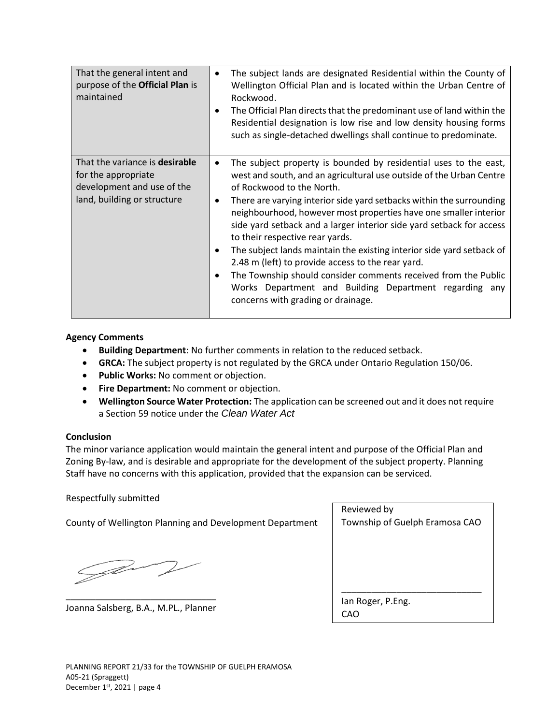| That the general intent and<br>purpose of the Official Plan is<br>maintained                                       | The subject lands are designated Residential within the County of<br>$\bullet$<br>Wellington Official Plan and is located within the Urban Centre of<br>Rockwood.<br>The Official Plan directs that the predominant use of land within the<br>Residential designation is low rise and low density housing forms<br>such as single-detached dwellings shall continue to predominate.                                                                                                                                                                                                                                                                                                                                         |
|--------------------------------------------------------------------------------------------------------------------|-----------------------------------------------------------------------------------------------------------------------------------------------------------------------------------------------------------------------------------------------------------------------------------------------------------------------------------------------------------------------------------------------------------------------------------------------------------------------------------------------------------------------------------------------------------------------------------------------------------------------------------------------------------------------------------------------------------------------------|
| That the variance is desirable<br>for the appropriate<br>development and use of the<br>land, building or structure | The subject property is bounded by residential uses to the east,<br>west and south, and an agricultural use outside of the Urban Centre<br>of Rockwood to the North.<br>There are varying interior side yard setbacks within the surrounding<br>neighbourhood, however most properties have one smaller interior<br>side yard setback and a larger interior side yard setback for access<br>to their respective rear yards.<br>The subject lands maintain the existing interior side yard setback of<br>2.48 m (left) to provide access to the rear yard.<br>The Township should consider comments received from the Public<br>Works Department and Building Department regarding any<br>concerns with grading or drainage. |

## **Agency Comments**

- **Building Department**: No further comments in relation to the reduced setback.
- **GRCA:** The subject property is not regulated by the GRCA under Ontario Regulation 150/06.
- **Public Works:** No comment or objection.
- **Fire Department:** No comment or objection.
- **Wellington Source Water Protection:** The application can be screened out and it does not require a Section 59 notice under the *Clean Water Act*

## **Conclusion**

The minor variance application would maintain the general intent and purpose of the Official Plan and Zoning By-law, and is desirable and appropriate for the development of the subject property. Planning Staff have no concerns with this application, provided that the expansion can be serviced.

Respectfully submitted

County of Wellington Planning and Development Department

Jan,

\_\_\_\_\_\_\_\_\_\_\_\_\_\_\_\_\_\_\_\_\_\_\_\_\_\_\_\_\_\_ Joanna Salsberg, B.A., M.PL., Planner

| Reviewed by                    |
|--------------------------------|
| Township of Guelph Eramosa CAO |
|                                |
|                                |
|                                |
|                                |
|                                |
|                                |
| lan Roger, P.Eng.              |
| ലഹ                             |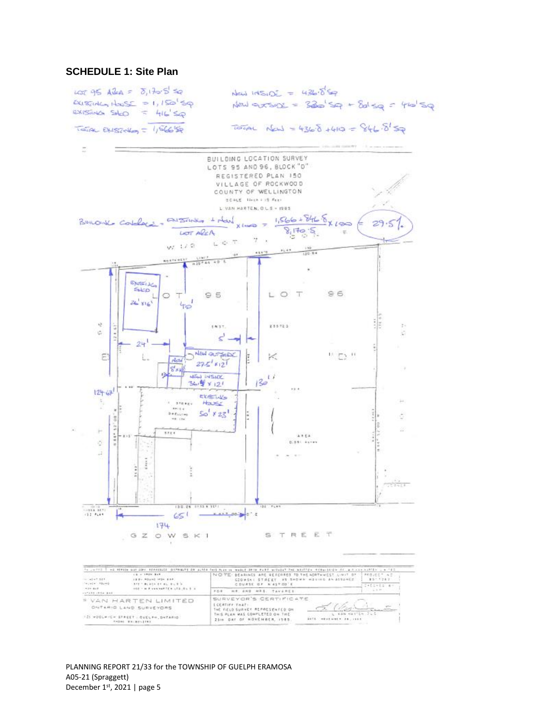# **SCHEDULE 1: Site Plan**



PLANNING REPORT 21/33 for the TOWNSHIP OF GUELPH ERAMOSA A05-21 (Spraggett) December 1<sup>st</sup>, 2021 | page 5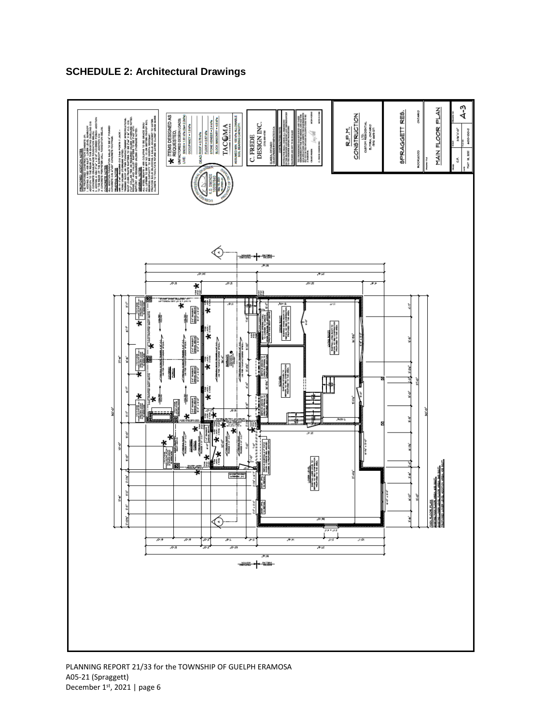# **SCHEDULE 2: Architectural Drawings**